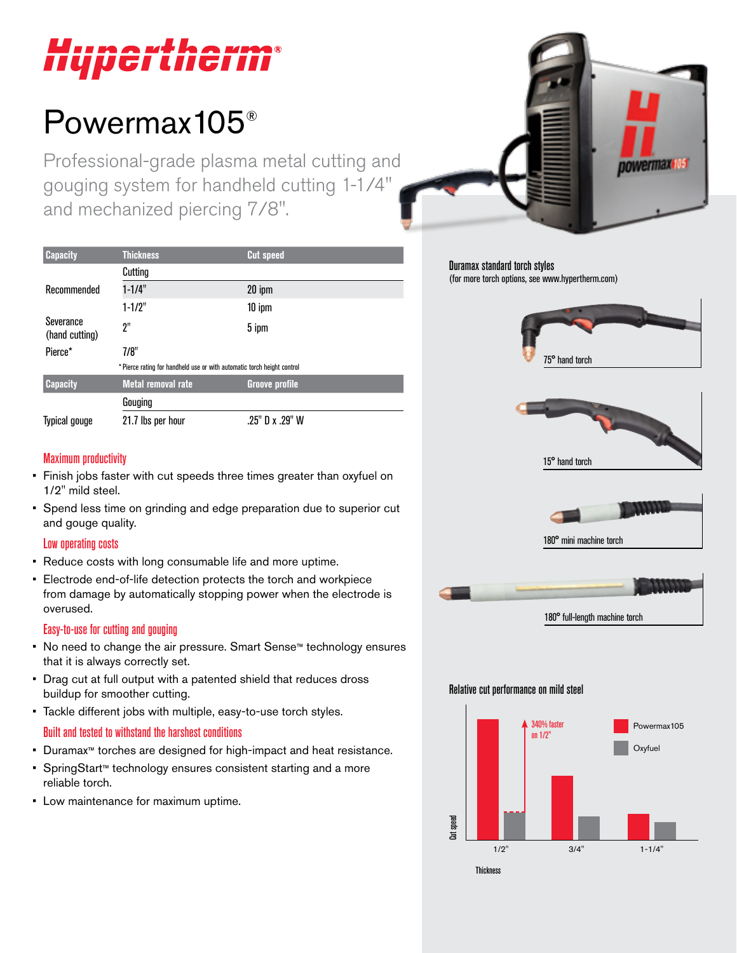# Hupertherm®

## Powermax105®

Professional-grade plasma metal cutting and gouging system for handheld cutting 1-1/4" and mechanized piercing 7/8".

| <b>Capacity</b>             | <b>Thickness</b>                                                        | <b>Cut speed</b>      |  |
|-----------------------------|-------------------------------------------------------------------------|-----------------------|--|
|                             | Cutting                                                                 |                       |  |
| Recommended                 | $1 - 1/4"$                                                              | 20 ipm                |  |
|                             | $1 - 1/2"$                                                              | $10$ ipm              |  |
| Severance<br>(hand cutting) | 2"                                                                      | 5 ipm                 |  |
| Pierce*                     | 7/8"                                                                    |                       |  |
|                             | * Pierce rating for handheld use or with automatic torch height control |                       |  |
| <b>Capacity</b>             | <b>Metal removal rate</b>                                               | <b>Groove profile</b> |  |
|                             | Gouging                                                                 |                       |  |
| <b>Typical gouge</b>        | 21.7 lbs per hour                                                       | .25" D x .29" W       |  |

#### Maximum productivity

- Finish jobs faster with cut speeds three times greater than oxyfuel on 1/2" mild steel.
- Spend less time on grinding and edge preparation due to superior cut and gouge quality.

#### Low operating costs

- Reduce costs with long consumable life and more uptime.
- Electrode end-of-life detection protects the torch and workpiece from damage by automatically stopping power when the electrode is overused.

#### Easy-to-use for cutting and gouging

- No need to change the air pressure. Smart Sense™ technology ensures that it is always correctly set.
- Drag cut at full output with a patented shield that reduces dross buildup for smoother cutting.
- Tackle different jobs with multiple, easy-to-use torch styles.

#### Built and tested to withstand the harshest conditions

- Duramax™ torches are designed for high-impact and heat resistance.
- SpringStart™ technology ensures consistent starting and a more reliable torch.
- Low maintenance for maximum uptime.



Duramax standard torch styles (for more torch options, see www.hypertherm.com)







180° mini machine torch



#### Relative cut performance on mild steel

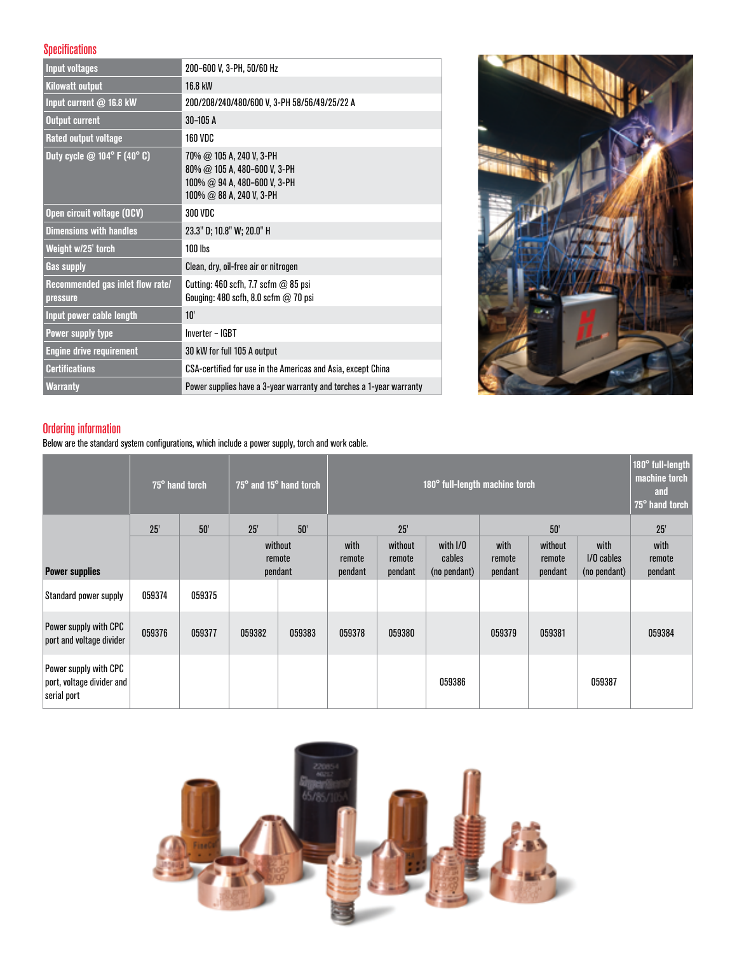#### Specifications

| <b>Input voltages</b>                             | 200-600 V, 3-PH, 50/60 Hz                                                                                                     |
|---------------------------------------------------|-------------------------------------------------------------------------------------------------------------------------------|
| <b>Kilowatt output</b>                            | 16.8 kW                                                                                                                       |
| Input current @ 16.8 kW                           | 200/208/240/480/600 V, 3-PH 58/56/49/25/22 A                                                                                  |
| <b>Output current</b>                             | $30 - 105A$                                                                                                                   |
| <b>Rated output voltage</b>                       | <b>160 VDC</b>                                                                                                                |
| Duty cycle $@$ 104 $^{\circ}$ F (40 $^{\circ}$ C) | 70% @ 105 A, 240 V, 3-PH<br>$80\%$ @ 105 A, 480-600 V, 3-PH<br>$100\%$ @ 94 A, 480-600 V, 3-PH<br>$100\%$ @ 88 A, 240 V, 3-PH |
| Open circuit voltage (OCV)                        | 300 VDC                                                                                                                       |
| <b>Dimensions with handles</b>                    | 23.3" D; 10.8" W; 20.0" H                                                                                                     |
| Weight w/25' torch                                | $100$ lbs                                                                                                                     |
| <b>Gas supply</b>                                 | Clean, dry, oil-free air or nitrogen                                                                                          |
| Recommended gas inlet flow rate/<br>pressure      | Cutting: 460 scfh, 7.7 scfm $@$ 85 psi<br>Gouging: 480 scfh, 8.0 scfm $@$ 70 psi                                              |
| Input power cable length                          | 10'                                                                                                                           |
| Power supply type                                 | Inverter - IGBT                                                                                                               |
| <b>Engine drive requirement</b>                   | 30 kW for full 105 A output                                                                                                   |
| <b>Certifications</b>                             | CSA-certified for use in the Americas and Asia, except China                                                                  |
| <b>Warranty</b>                                   | Power supplies have a 3-year warranty and torches a 1-year warranty                                                           |



#### Ordering information

Below are the standard system configurations, which include a power supply, torch and work cable.

|                                                                   |        | 75° hand torch |                   | 75° and 15° hand torch | 180° full-length machine torch |                   |                        |                   |                   | 180° full-length<br>machine torch<br>and<br>75° hand torch |                   |
|-------------------------------------------------------------------|--------|----------------|-------------------|------------------------|--------------------------------|-------------------|------------------------|-------------------|-------------------|------------------------------------------------------------|-------------------|
|                                                                   | 25'    | 50'            | 25'               | 50'                    | 25'                            |                   |                        |                   | 50'               | 25'                                                        |                   |
|                                                                   |        |                |                   | without                |                                | without           | with I/O               | with              | without           | with                                                       | with              |
| <b>Power supplies</b>                                             |        |                | remote<br>pendant |                        | remote<br>pendant              | remote<br>pendant | cables<br>(no pendant) | remote<br>pendant | remote<br>pendant | $1/0$ cables<br>(no pendant)                               | remote<br>pendant |
| Standard power supply                                             | 059374 | 059375         |                   |                        |                                |                   |                        |                   |                   |                                                            |                   |
| Power supply with CPC<br>port and voltage divider                 | 059376 | 059377         | 059382            | 059383                 | 059378                         | 059380            |                        | 059379            | 059381            |                                                            | 059384            |
| Power supply with CPC<br>port, voltage divider and<br>serial port |        |                |                   |                        |                                |                   | 059386                 |                   |                   | 059387                                                     |                   |

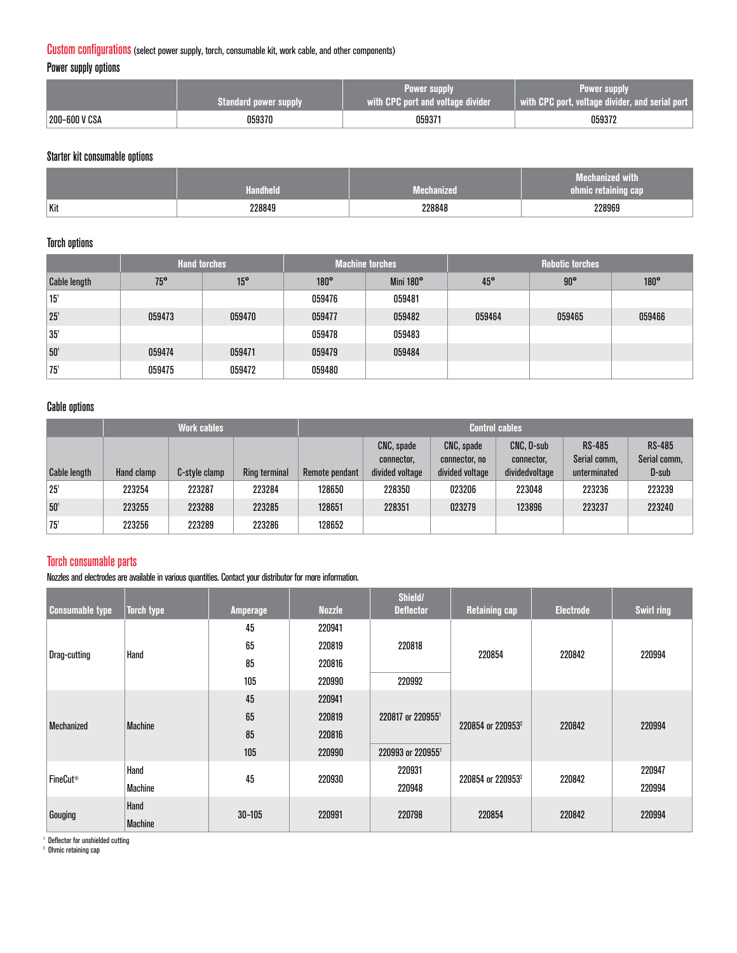#### Custom configurations (select power supply, torch, consumable kit, work cable, and other components)

Power supply options

|               | <b>Standard power supply</b> | Power supply<br>with CPC port and voltage divider | <b>Power supply</b><br>with CPC port, voltage divider, and serial port |  |  |
|---------------|------------------------------|---------------------------------------------------|------------------------------------------------------------------------|--|--|
| 200-600 V CSA | 059370                       | 059371                                            | 059372                                                                 |  |  |

#### Starter kit consumable options

|     | ıdheld |        | --<br><b>With</b><br>VIEGHEILLZ<br><b><i>Con</i>mic retaining Car</b> |
|-----|--------|--------|-----------------------------------------------------------------------|
| Kit | 228849 | 228848 | 228969                                                                |

#### Torch options

|                     | <b>Hand torches</b> |              |             | <b>Machine torches</b> | <b>Robotic torches</b> |              |             |  |
|---------------------|---------------------|--------------|-------------|------------------------|------------------------|--------------|-------------|--|
| <b>Cable length</b> | $75^{\circ}$        | $15^{\circ}$ | $180^\circ$ | Mini 180°              | $45^{\circ}$           | $90^{\circ}$ | $180^\circ$ |  |
| 15'                 |                     |              | 059476      | 059481                 |                        |              |             |  |
| 25'                 | 059473              | 059470       | 059477      | 059482                 | 059464                 | 059465       | 059466      |  |
| 35'                 |                     |              | 059478      | 059483                 |                        |              |             |  |
| 50'                 | 059474              | 059471       | 059479      | 059484                 |                        |              |             |  |
| 75                  | 059475              | 059472       | 059480      |                        |                        |              |             |  |

#### Cable options

|                     | <b>Work cables</b> |               |               | <b>Control cables</b> |                                             |                                                |                                            |                                               |                                        |
|---------------------|--------------------|---------------|---------------|-----------------------|---------------------------------------------|------------------------------------------------|--------------------------------------------|-----------------------------------------------|----------------------------------------|
| <b>Cable length</b> | Hand clamp         | C-style clamp | Ring terminal | Remote pendant        | CNC, spade<br>connector,<br>divided voltage | CNC, spade<br>connector, no<br>divided voltage | CNC, D-sub<br>connector,<br>dividedvoltage | <b>RS-485</b><br>Serial comm,<br>unterminated | <b>RS-485</b><br>Serial comm,<br>D-sub |
| 25'                 | 223254             | 223287        | 223284        | 128650                | 228350                                      | 023206                                         | 223048                                     | 223236                                        | 223239                                 |
| 50'                 | 223255             | 223288        | 223285        | 128651                | 228351                                      | 023279                                         | 123896                                     | 223237                                        | 223240                                 |
| '75'                | 223256             | 223289        | 223286        | 128652                |                                             |                                                |                                            |                                               |                                        |

#### Torch consumable parts

Nozzles and electrodes are available in various quantities. Contact your distributor for more information.

| <b>Consumable type</b> | <b>Torch type</b> | <b>Amperage</b> | <b>Nozzle</b> | Shield/<br><b>Deflector</b> | <b>Retaining cap</b>          | <b>Electrode</b> | <b>Swirl ring</b> |
|------------------------|-------------------|-----------------|---------------|-----------------------------|-------------------------------|------------------|-------------------|
|                        |                   | 45              | 220941        |                             | 220854                        | 220842           | 220994            |
|                        | Hand              | 65              | 220819        | 220818                      |                               |                  |                   |
| Drag-cutting           |                   | 85              | 220816        |                             |                               |                  |                   |
|                        |                   | 105             | 220990        | 220992                      |                               |                  |                   |
|                        | <b>Machine</b>    | 45              | 220941        |                             | 220854 or 220953 <sup>2</sup> | 220842           |                   |
| Mechanized             |                   | 65              | 220819        | 220817 or 2209551           |                               |                  | 220994            |
|                        |                   | 85              | 220816        |                             |                               |                  |                   |
|                        |                   | 105             | 220990        | 220993 or 2209551           |                               |                  |                   |
| FineCut <sup>®</sup>   | Hand              | 45              | 220930        | 220931                      | 220854 or 220953 <sup>2</sup> | 220842           | 220947            |
|                        | <b>Machine</b>    |                 |               | 220948                      |                               |                  | 220994            |
| Gouging                | Hand              | $30 - 105$      | 220991        | 220798                      | 220854                        | 220842           | 220994            |
|                        | <b>Machine</b>    |                 |               |                             |                               |                  |                   |

<sup>1</sup> Deflector for unshielded cutting

2 Ohmic retaining cap